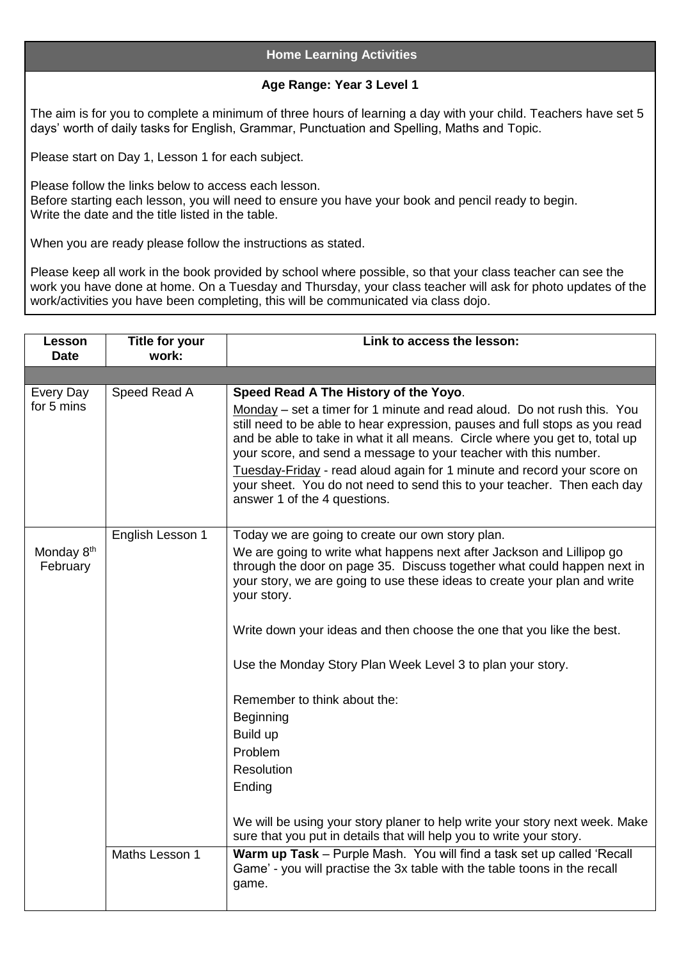## **Home Learning Activities**

## **Age Range: Year 3 Level 1**

The aim is for you to complete a minimum of three hours of learning a day with your child. Teachers have set 5 days' worth of daily tasks for English, Grammar, Punctuation and Spelling, Maths and Topic.

Please start on Day 1, Lesson 1 for each subject.

Please follow the links below to access each lesson. Before starting each lesson, you will need to ensure you have your book and pencil ready to begin. Write the date and the title listed in the table.

When you are ready please follow the instructions as stated.

Please keep all work in the book provided by school where possible, so that your class teacher can see the work you have done at home. On a Tuesday and Thursday, your class teacher will ask for photo updates of the work/activities you have been completing, this will be communicated via class dojo.

| Lesson<br><b>Date</b>              | <b>Title for your</b><br>work:     | Link to access the lesson:                                                                                                                                                                                                                                                                                                                                                                                                                                                                                                                                                                                                                                                                                                                                                                                                                                        |
|------------------------------------|------------------------------------|-------------------------------------------------------------------------------------------------------------------------------------------------------------------------------------------------------------------------------------------------------------------------------------------------------------------------------------------------------------------------------------------------------------------------------------------------------------------------------------------------------------------------------------------------------------------------------------------------------------------------------------------------------------------------------------------------------------------------------------------------------------------------------------------------------------------------------------------------------------------|
|                                    |                                    |                                                                                                                                                                                                                                                                                                                                                                                                                                                                                                                                                                                                                                                                                                                                                                                                                                                                   |
| Every Day<br>for 5 mins            | Speed Read A                       | Speed Read A The History of the Yoyo.<br>Monday – set a timer for 1 minute and read aloud. Do not rush this. You<br>still need to be able to hear expression, pauses and full stops as you read<br>and be able to take in what it all means. Circle where you get to, total up<br>your score, and send a message to your teacher with this number.<br>Tuesday-Friday - read aloud again for 1 minute and record your score on<br>your sheet. You do not need to send this to your teacher. Then each day<br>answer 1 of the 4 questions.                                                                                                                                                                                                                                                                                                                          |
| Monday 8 <sup>th</sup><br>February | English Lesson 1<br>Maths Lesson 1 | Today we are going to create our own story plan.<br>We are going to write what happens next after Jackson and Lillipop go<br>through the door on page 35. Discuss together what could happen next in<br>your story, we are going to use these ideas to create your plan and write<br>your story.<br>Write down your ideas and then choose the one that you like the best.<br>Use the Monday Story Plan Week Level 3 to plan your story.<br>Remember to think about the:<br>Beginning<br>Build up<br>Problem<br><b>Resolution</b><br>Ending<br>We will be using your story planer to help write your story next week. Make<br>sure that you put in details that will help you to write your story.<br>Warm up Task - Purple Mash. You will find a task set up called 'Recall<br>Game' - you will practise the 3x table with the table toons in the recall<br>game. |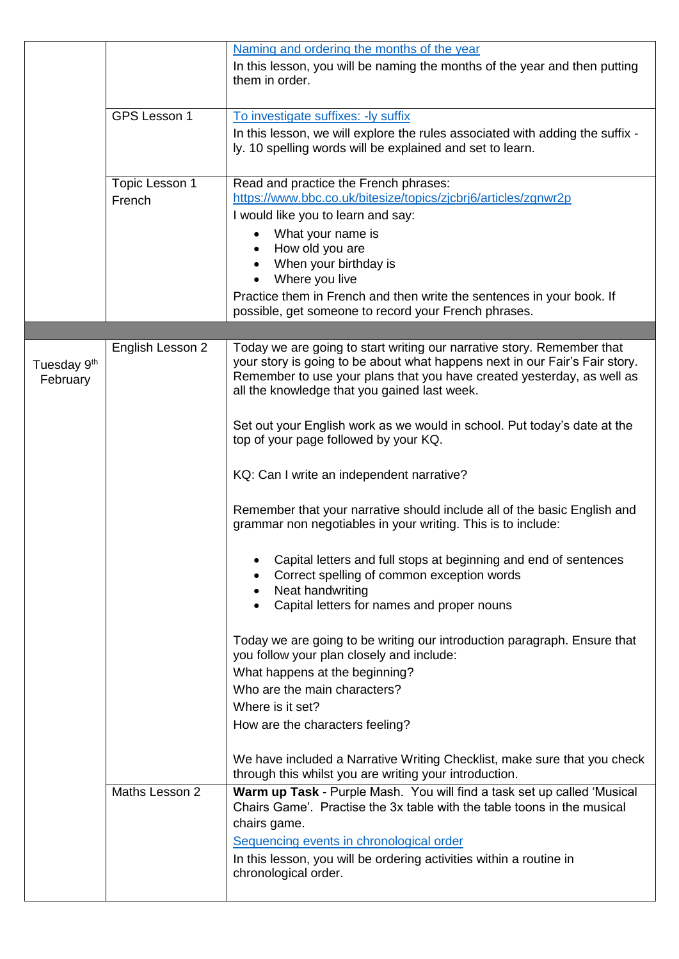|                                     |                  | Naming and ordering the months of the year                                                                                                                                                                                                                                      |
|-------------------------------------|------------------|---------------------------------------------------------------------------------------------------------------------------------------------------------------------------------------------------------------------------------------------------------------------------------|
|                                     |                  | In this lesson, you will be naming the months of the year and then putting<br>them in order.                                                                                                                                                                                    |
|                                     | GPS Lesson 1     | To investigate suffixes: - ly suffix                                                                                                                                                                                                                                            |
|                                     |                  | In this lesson, we will explore the rules associated with adding the suffix -<br>ly. 10 spelling words will be explained and set to learn.                                                                                                                                      |
|                                     | Topic Lesson 1   | Read and practice the French phrases:                                                                                                                                                                                                                                           |
|                                     | French           | https://www.bbc.co.uk/bitesize/topics/zjcbrj6/articles/zgnwr2p                                                                                                                                                                                                                  |
|                                     |                  | I would like you to learn and say:                                                                                                                                                                                                                                              |
|                                     |                  | What your name is                                                                                                                                                                                                                                                               |
|                                     |                  | How old you are<br>When your birthday is                                                                                                                                                                                                                                        |
|                                     |                  | Where you live                                                                                                                                                                                                                                                                  |
|                                     |                  | Practice them in French and then write the sentences in your book. If                                                                                                                                                                                                           |
|                                     |                  | possible, get someone to record your French phrases.                                                                                                                                                                                                                            |
|                                     |                  |                                                                                                                                                                                                                                                                                 |
| Tuesday 9 <sup>th</sup><br>February | English Lesson 2 | Today we are going to start writing our narrative story. Remember that<br>your story is going to be about what happens next in our Fair's Fair story.<br>Remember to use your plans that you have created yesterday, as well as<br>all the knowledge that you gained last week. |
|                                     |                  | Set out your English work as we would in school. Put today's date at the<br>top of your page followed by your KQ.                                                                                                                                                               |
|                                     |                  | KQ: Can I write an independent narrative?                                                                                                                                                                                                                                       |
|                                     |                  | Remember that your narrative should include all of the basic English and<br>grammar non negotiables in your writing. This is to include:                                                                                                                                        |
|                                     |                  | Capital letters and full stops at beginning and end of sentences<br>Correct spelling of common exception words<br>Neat handwriting                                                                                                                                              |
|                                     |                  | Capital letters for names and proper nouns                                                                                                                                                                                                                                      |
|                                     |                  | Today we are going to be writing our introduction paragraph. Ensure that<br>you follow your plan closely and include:                                                                                                                                                           |
|                                     |                  | What happens at the beginning?                                                                                                                                                                                                                                                  |
|                                     |                  | Who are the main characters?                                                                                                                                                                                                                                                    |
|                                     |                  | Where is it set?                                                                                                                                                                                                                                                                |
|                                     |                  | How are the characters feeling?                                                                                                                                                                                                                                                 |
|                                     |                  | We have included a Narrative Writing Checklist, make sure that you check<br>through this whilst you are writing your introduction.                                                                                                                                              |
|                                     | Maths Lesson 2   | Warm up Task - Purple Mash. You will find a task set up called 'Musical<br>Chairs Game'. Practise the 3x table with the table toons in the musical<br>chairs game.                                                                                                              |
|                                     |                  | Sequencing events in chronological order                                                                                                                                                                                                                                        |
|                                     |                  | In this lesson, you will be ordering activities within a routine in<br>chronological order.                                                                                                                                                                                     |
|                                     |                  |                                                                                                                                                                                                                                                                                 |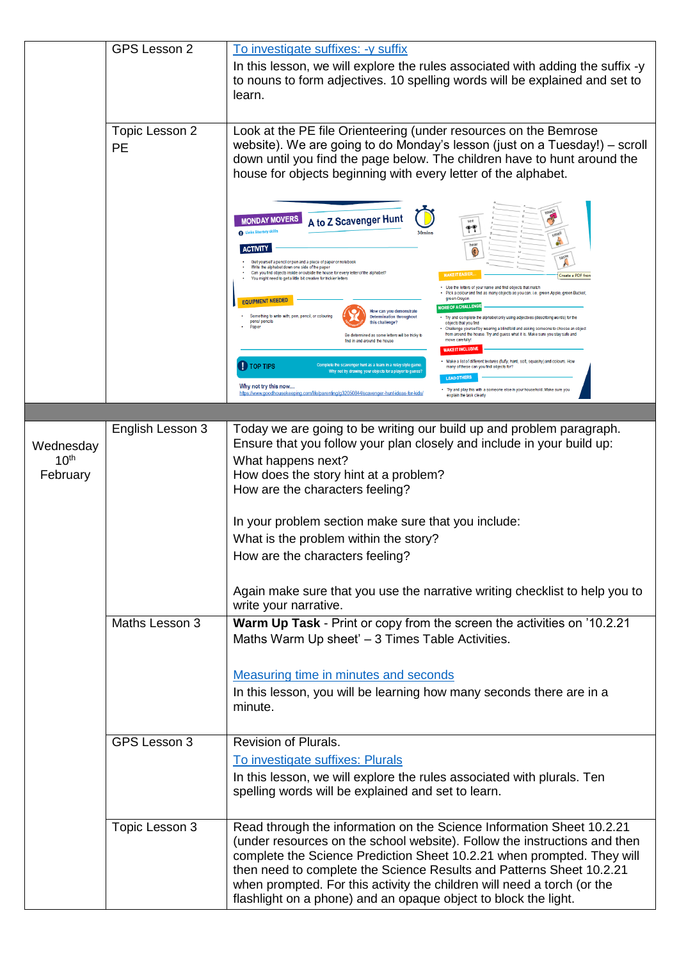|                                           | <b>GPS Lesson 2</b>         | To investigate suffixes: - y suffix                                                                                                                                                                                                                                                                                                                                                                                                                                                                                                                                                                                                                                                                                                                                                                                                                                                                                                                                                                               |
|-------------------------------------------|-----------------------------|-------------------------------------------------------------------------------------------------------------------------------------------------------------------------------------------------------------------------------------------------------------------------------------------------------------------------------------------------------------------------------------------------------------------------------------------------------------------------------------------------------------------------------------------------------------------------------------------------------------------------------------------------------------------------------------------------------------------------------------------------------------------------------------------------------------------------------------------------------------------------------------------------------------------------------------------------------------------------------------------------------------------|
|                                           |                             | In this lesson, we will explore the rules associated with adding the suffix -y<br>to nouns to form adjectives. 10 spelling words will be explained and set to<br>learn.                                                                                                                                                                                                                                                                                                                                                                                                                                                                                                                                                                                                                                                                                                                                                                                                                                           |
|                                           | Topic Lesson 2<br><b>PE</b> | Look at the PE file Orienteering (under resources on the Bemrose<br>website). We are going to do Monday's lesson (just on a Tuesday!) – scroll<br>down until you find the page below. The children have to hunt around the<br>house for objects beginning with every letter of the alphabet.                                                                                                                                                                                                                                                                                                                                                                                                                                                                                                                                                                                                                                                                                                                      |
|                                           |                             | $\mathcal{A}_f$<br>A to Z Scavenger Hunt<br><b>MONDAY MOVERS</b><br>see<br>$\mathbb{P}^*$<br><b>O</b> Links literacy skill<br>30 <sub>mins</sub><br>hear<br>ACTIVITY<br>$\bigcirc$<br>Get yourself a pencil or pen and a piece of paper or notebook<br>Write the alphabet down one side of the paper<br>Can you find objects inside or outside the house for every letter of the alphabet?<br><b>MAKEIT EASIER.</b><br>Create a PDF fron<br>You might need to get a little bit creative for trickier letters<br>Use the letters of your name and find objects that match<br>Pick a colour and find as many objects as you can. i.e. green Apple, green Bucket,<br>green Crayon<br><b>EQUIPMENT NEEDED</b><br><b>MORE OF A CHALLEN</b><br>How can you demonstrate<br>Something to write with; pen, pencil, or colouring<br><b>Determination throughout</b><br>Try and complete the alphabet only using adjectives (describing words) for the<br>pens/ pencils<br>this challenge'<br>objects that you find<br>Paper |
|                                           |                             | Challenge yourself by wearing a blindfold and asking someone to choose an object<br>from around the house. Try and guess what it is. Make sure you stay safe and<br>Be determined as some letters will be tricky t<br>move carefully!<br>find in and around the house<br>MAKE IT INCLUSIVI<br>Make a list of different textures (fluffy, hard, soft, squashy) and colours. How<br><b>D</b> TOP TIPS<br>mplete the scavenger hunt as a team in a relay style gar<br>many of these can you find objects for?<br>Why not try drawing your objects for a player to guess'<br><b>LEAD OTHERS</b><br>Why not try this now<br>Try and play this with a someone else in your household. Make sure you<br>https://www.goodhousekeeping.com/life/parenting/g32050844/scavenger-hunt-ideas-for-kids<br>explain the task clearly                                                                                                                                                                                              |
|                                           |                             |                                                                                                                                                                                                                                                                                                                                                                                                                                                                                                                                                                                                                                                                                                                                                                                                                                                                                                                                                                                                                   |
| Wednesday<br>10 <sup>th</sup><br>February | English Lesson 3            | Today we are going to be writing our build up and problem paragraph.<br>Ensure that you follow your plan closely and include in your build up:<br>What happens next?<br>How does the story hint at a problem?<br>How are the characters feeling?<br>In your problem section make sure that you include:<br>What is the problem within the story?<br>How are the characters feeling?<br>Again make sure that you use the narrative writing checklist to help you to<br>write your narrative.                                                                                                                                                                                                                                                                                                                                                                                                                                                                                                                       |
|                                           | Maths Lesson 3              | Warm Up Task - Print or copy from the screen the activities on '10.2.21<br>Maths Warm Up sheet' - 3 Times Table Activities.<br>Measuring time in minutes and seconds                                                                                                                                                                                                                                                                                                                                                                                                                                                                                                                                                                                                                                                                                                                                                                                                                                              |
|                                           |                             | In this lesson, you will be learning how many seconds there are in a<br>minute.                                                                                                                                                                                                                                                                                                                                                                                                                                                                                                                                                                                                                                                                                                                                                                                                                                                                                                                                   |
|                                           | GPS Lesson 3                | Revision of Plurals.<br>To investigate suffixes: Plurals<br>In this lesson, we will explore the rules associated with plurals. Ten<br>spelling words will be explained and set to learn.                                                                                                                                                                                                                                                                                                                                                                                                                                                                                                                                                                                                                                                                                                                                                                                                                          |
|                                           | Topic Lesson 3              | Read through the information on the Science Information Sheet 10.2.21<br>(under resources on the school website). Follow the instructions and then<br>complete the Science Prediction Sheet 10.2.21 when prompted. They will<br>then need to complete the Science Results and Patterns Sheet 10.2.21<br>when prompted. For this activity the children will need a torch (or the<br>flashlight on a phone) and an opaque object to block the light.                                                                                                                                                                                                                                                                                                                                                                                                                                                                                                                                                                |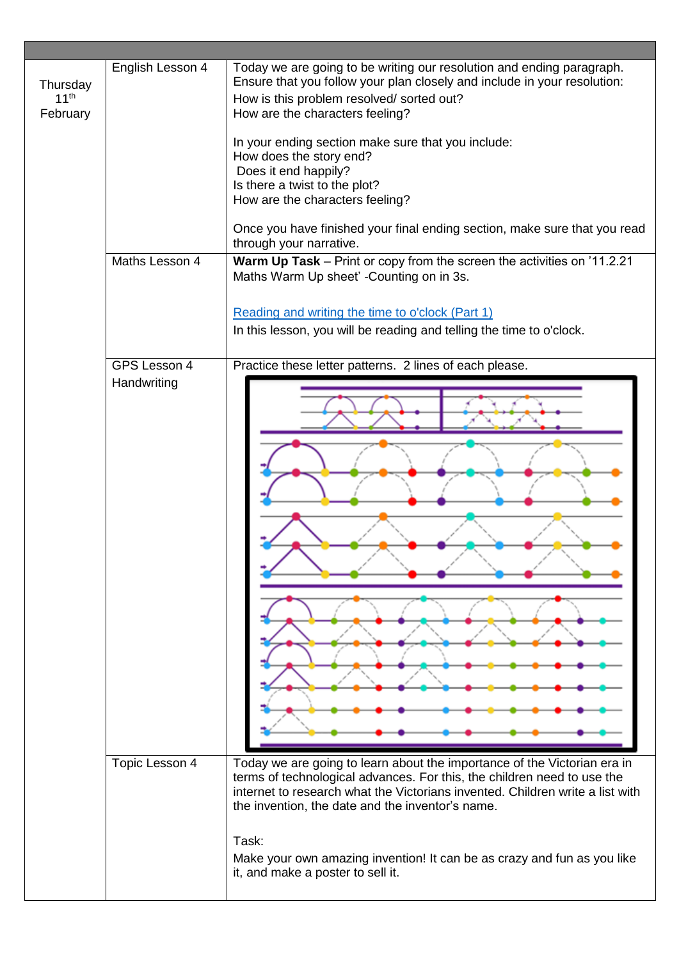| Thursday<br>11 <sup>th</sup><br>February | English Lesson 4<br>Maths Lesson 4 | Today we are going to be writing our resolution and ending paragraph.<br>Ensure that you follow your plan closely and include in your resolution:<br>How is this problem resolved/ sorted out?<br>How are the characters feeling?<br>In your ending section make sure that you include:<br>How does the story end?<br>Does it end happily?<br>Is there a twist to the plot?<br>How are the characters feeling?<br>Once you have finished your final ending section, make sure that you read<br>through your narrative.<br>Warm Up Task - Print or copy from the screen the activities on '11.2.21<br>Maths Warm Up sheet' -Counting on in 3s.<br>Reading and writing the time to o'clock (Part 1)<br>In this lesson, you will be reading and telling the time to o'clock. |
|------------------------------------------|------------------------------------|---------------------------------------------------------------------------------------------------------------------------------------------------------------------------------------------------------------------------------------------------------------------------------------------------------------------------------------------------------------------------------------------------------------------------------------------------------------------------------------------------------------------------------------------------------------------------------------------------------------------------------------------------------------------------------------------------------------------------------------------------------------------------|
|                                          |                                    |                                                                                                                                                                                                                                                                                                                                                                                                                                                                                                                                                                                                                                                                                                                                                                           |
|                                          | GPS Lesson 4<br>Handwriting        | Practice these letter patterns. 2 lines of each please.                                                                                                                                                                                                                                                                                                                                                                                                                                                                                                                                                                                                                                                                                                                   |
|                                          | Topic Lesson 4                     | Today we are going to learn about the importance of the Victorian era in<br>terms of technological advances. For this, the children need to use the<br>internet to research what the Victorians invented. Children write a list with<br>the invention, the date and the inventor's name.<br>Task:<br>Make your own amazing invention! It can be as crazy and fun as you like<br>it, and make a poster to sell it.                                                                                                                                                                                                                                                                                                                                                         |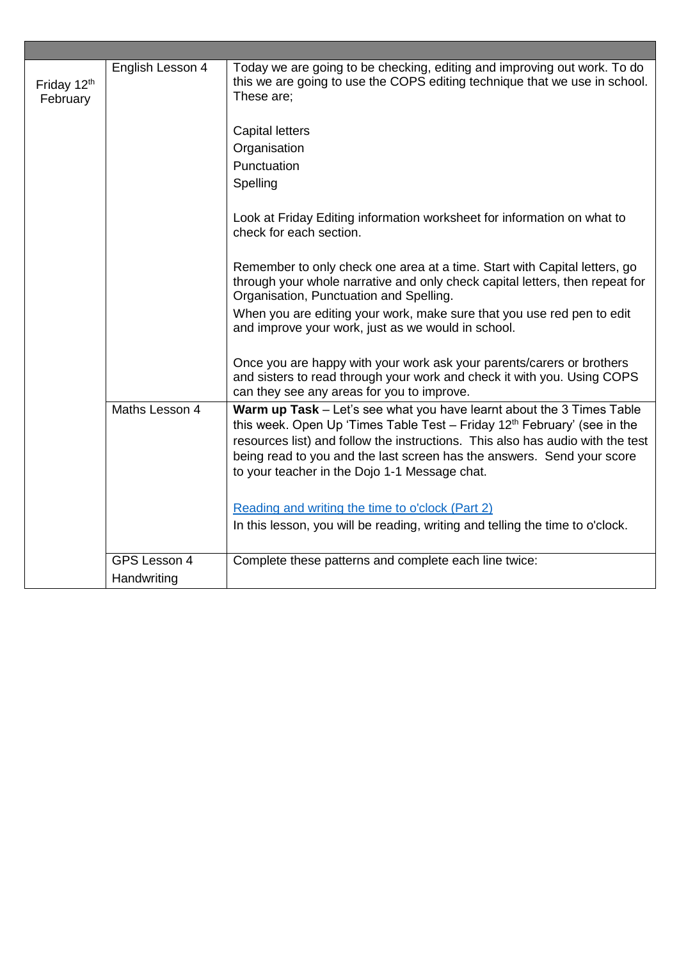| Friday 12th<br>February | English Lesson 4            | Today we are going to be checking, editing and improving out work. To do<br>this we are going to use the COPS editing technique that we use in school.<br>These are;<br><b>Capital letters</b><br>Organisation<br>Punctuation<br>Spelling<br>Look at Friday Editing information worksheet for information on what to<br>check for each section.<br>Remember to only check one area at a time. Start with Capital letters, go<br>through your whole narrative and only check capital letters, then repeat for |
|-------------------------|-----------------------------|--------------------------------------------------------------------------------------------------------------------------------------------------------------------------------------------------------------------------------------------------------------------------------------------------------------------------------------------------------------------------------------------------------------------------------------------------------------------------------------------------------------|
|                         |                             | Organisation, Punctuation and Spelling.                                                                                                                                                                                                                                                                                                                                                                                                                                                                      |
|                         |                             | When you are editing your work, make sure that you use red pen to edit<br>and improve your work, just as we would in school.                                                                                                                                                                                                                                                                                                                                                                                 |
|                         |                             | Once you are happy with your work ask your parents/carers or brothers<br>and sisters to read through your work and check it with you. Using COPS<br>can they see any areas for you to improve.                                                                                                                                                                                                                                                                                                               |
|                         | Maths Lesson 4              | Warm up Task - Let's see what you have learnt about the 3 Times Table<br>this week. Open Up 'Times Table Test - Friday 12 <sup>th</sup> February' (see in the<br>resources list) and follow the instructions. This also has audio with the test<br>being read to you and the last screen has the answers. Send your score<br>to your teacher in the Dojo 1-1 Message chat.                                                                                                                                   |
|                         |                             | Reading and writing the time to o'clock (Part 2)<br>In this lesson, you will be reading, writing and telling the time to o'clock.                                                                                                                                                                                                                                                                                                                                                                            |
|                         | GPS Lesson 4<br>Handwriting | Complete these patterns and complete each line twice:                                                                                                                                                                                                                                                                                                                                                                                                                                                        |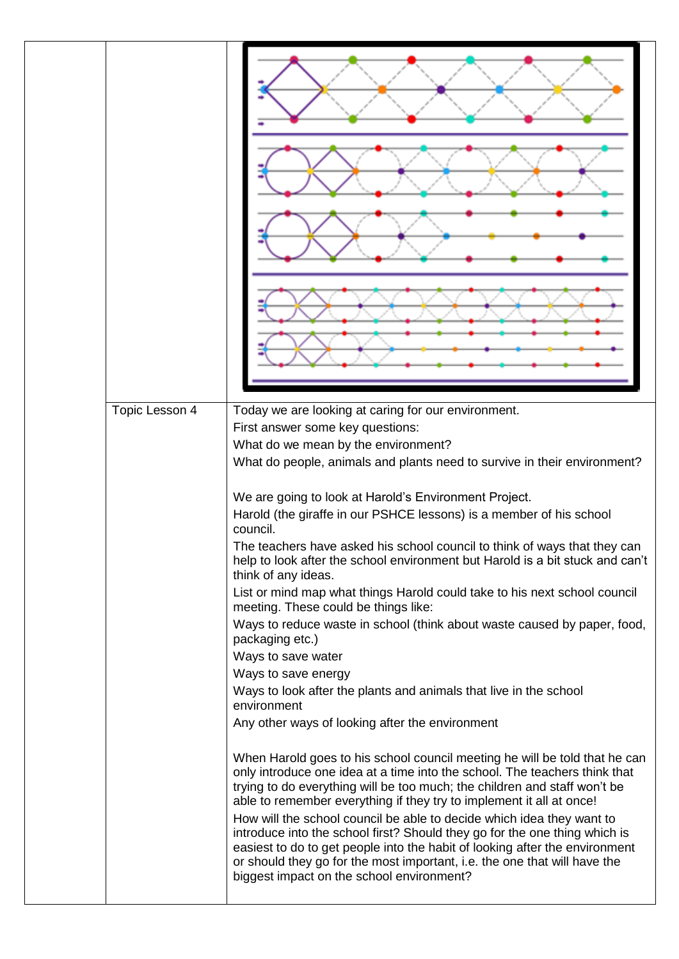| First answer some key questions:<br>What do we mean by the environment?<br>What do people, animals and plants need to survive in their environment?<br>We are going to look at Harold's Environment Project.<br>Harold (the giraffe in our PSHCE lessons) is a member of his school<br>council.<br>The teachers have asked his school council to think of ways that they can<br>think of any ideas.<br>List or mind map what things Harold could take to his next school council<br>meeting. These could be things like:<br>packaging etc.)<br>Ways to save water<br>Ways to save energy<br>Ways to look after the plants and animals that live in the school<br>environment<br>Any other ways of looking after the environment<br>only introduce one idea at a time into the school. The teachers think that<br>trying to do everything will be too much; the children and staff won't be<br>able to remember everything if they try to implement it all at once!<br>How will the school council be able to decide which idea they want to<br>introduce into the school first? Should they go for the one thing which is<br>easiest to do to get people into the habit of looking after the environment<br>or should they go for the most important, i.e. the one that will have the<br>biggest impact on the school environment? |                |                                                                               |
|------------------------------------------------------------------------------------------------------------------------------------------------------------------------------------------------------------------------------------------------------------------------------------------------------------------------------------------------------------------------------------------------------------------------------------------------------------------------------------------------------------------------------------------------------------------------------------------------------------------------------------------------------------------------------------------------------------------------------------------------------------------------------------------------------------------------------------------------------------------------------------------------------------------------------------------------------------------------------------------------------------------------------------------------------------------------------------------------------------------------------------------------------------------------------------------------------------------------------------------------------------------------------------------------------------------------------------|----------------|-------------------------------------------------------------------------------|
|                                                                                                                                                                                                                                                                                                                                                                                                                                                                                                                                                                                                                                                                                                                                                                                                                                                                                                                                                                                                                                                                                                                                                                                                                                                                                                                                    | Topic Lesson 4 | Today we are looking at caring for our environment.                           |
|                                                                                                                                                                                                                                                                                                                                                                                                                                                                                                                                                                                                                                                                                                                                                                                                                                                                                                                                                                                                                                                                                                                                                                                                                                                                                                                                    |                |                                                                               |
|                                                                                                                                                                                                                                                                                                                                                                                                                                                                                                                                                                                                                                                                                                                                                                                                                                                                                                                                                                                                                                                                                                                                                                                                                                                                                                                                    |                |                                                                               |
|                                                                                                                                                                                                                                                                                                                                                                                                                                                                                                                                                                                                                                                                                                                                                                                                                                                                                                                                                                                                                                                                                                                                                                                                                                                                                                                                    |                |                                                                               |
|                                                                                                                                                                                                                                                                                                                                                                                                                                                                                                                                                                                                                                                                                                                                                                                                                                                                                                                                                                                                                                                                                                                                                                                                                                                                                                                                    |                |                                                                               |
|                                                                                                                                                                                                                                                                                                                                                                                                                                                                                                                                                                                                                                                                                                                                                                                                                                                                                                                                                                                                                                                                                                                                                                                                                                                                                                                                    |                |                                                                               |
|                                                                                                                                                                                                                                                                                                                                                                                                                                                                                                                                                                                                                                                                                                                                                                                                                                                                                                                                                                                                                                                                                                                                                                                                                                                                                                                                    |                |                                                                               |
|                                                                                                                                                                                                                                                                                                                                                                                                                                                                                                                                                                                                                                                                                                                                                                                                                                                                                                                                                                                                                                                                                                                                                                                                                                                                                                                                    |                | help to look after the school environment but Harold is a bit stuck and can't |
|                                                                                                                                                                                                                                                                                                                                                                                                                                                                                                                                                                                                                                                                                                                                                                                                                                                                                                                                                                                                                                                                                                                                                                                                                                                                                                                                    |                |                                                                               |
|                                                                                                                                                                                                                                                                                                                                                                                                                                                                                                                                                                                                                                                                                                                                                                                                                                                                                                                                                                                                                                                                                                                                                                                                                                                                                                                                    |                | Ways to reduce waste in school (think about waste caused by paper, food,      |
|                                                                                                                                                                                                                                                                                                                                                                                                                                                                                                                                                                                                                                                                                                                                                                                                                                                                                                                                                                                                                                                                                                                                                                                                                                                                                                                                    |                |                                                                               |
|                                                                                                                                                                                                                                                                                                                                                                                                                                                                                                                                                                                                                                                                                                                                                                                                                                                                                                                                                                                                                                                                                                                                                                                                                                                                                                                                    |                |                                                                               |
|                                                                                                                                                                                                                                                                                                                                                                                                                                                                                                                                                                                                                                                                                                                                                                                                                                                                                                                                                                                                                                                                                                                                                                                                                                                                                                                                    |                |                                                                               |
|                                                                                                                                                                                                                                                                                                                                                                                                                                                                                                                                                                                                                                                                                                                                                                                                                                                                                                                                                                                                                                                                                                                                                                                                                                                                                                                                    |                |                                                                               |
|                                                                                                                                                                                                                                                                                                                                                                                                                                                                                                                                                                                                                                                                                                                                                                                                                                                                                                                                                                                                                                                                                                                                                                                                                                                                                                                                    |                | When Harold goes to his school council meeting he will be told that he can    |